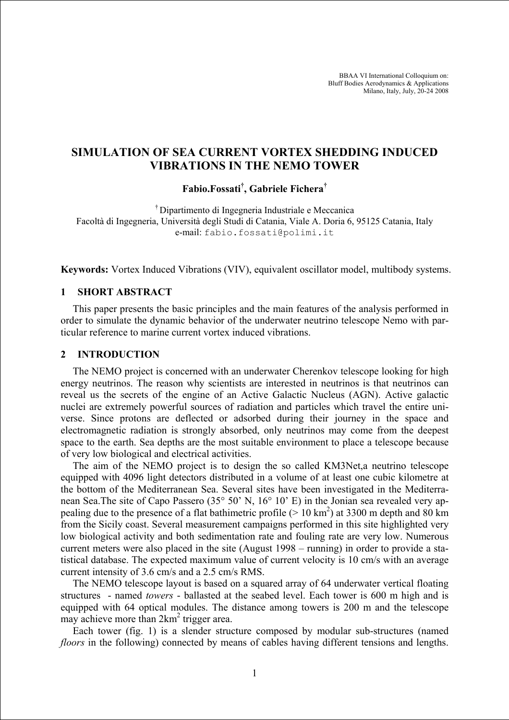BBAA VI International Colloquium on: Bluff Bodies Aerodynamics & Applications Milano, Italy, July, 20-24 2008

# **SIMULATION OF SEA CURRENT VORTEX SHEDDING INDUCED VIBRATIONS IN THE NEMO TOWER**

## **Fabio.Fossati† , Gabriele Fichera†**

† Dipartimento di Ingegneria Industriale e Meccanica Facoltà di Ingegneria, Università degli Studi di Catania, Viale A. Doria 6, 95125 Catania, Italy e-mail: fabio.fossati@polimi.it

**Keywords:** Vortex Induced Vibrations (VIV), equivalent oscillator model, multibody systems.

### **1 SHORT ABSTRACT**

This paper presents the basic principles and the main features of the analysis performed in order to simulate the dynamic behavior of the underwater neutrino telescope Nemo with particular reference to marine current vortex induced vibrations.

#### **2 INTRODUCTION**

The NEMO project is concerned with an underwater Cherenkov telescope looking for high energy neutrinos. The reason why scientists are interested in neutrinos is that neutrinos can reveal us the secrets of the engine of an Active Galactic Nucleus (AGN). Active galactic nuclei are extremely powerful sources of radiation and particles which travel the entire universe. Since protons are deflected or adsorbed during their journey in the space and electromagnetic radiation is strongly absorbed, only neutrinos may come from the deepest space to the earth. Sea depths are the most suitable environment to place a telescope because of very low biological and electrical activities.

The aim of the NEMO project is to design the so called KM3Net,a neutrino telescope equipped with 4096 light detectors distributed in a volume of at least one cubic kilometre at the bottom of the Mediterranean Sea. Several sites have been investigated in the Mediterranean Sea.The site of Capo Passero (35° 50' N, 16° 10' E) in the Jonian sea revealed very appealing due to the presence of a flat bathimetric profile ( $> 10 \text{ km}^2$ ) at 3300 m depth and 80 km from the Sicily coast. Several measurement campaigns performed in this site highlighted very low biological activity and both sedimentation rate and fouling rate are very low. Numerous current meters were also placed in the site (August 1998 – running) in order to provide a statistical database. The expected maximum value of current velocity is 10 cm/s with an average current intensity of 3.6 cm/s and a 2.5 cm/s RMS.

The NEMO telescope layout is based on a squared array of 64 underwater vertical floating structures - named *towers* - ballasted at the seabed level. Each tower is 600 m high and is equipped with 64 optical modules. The distance among towers is 200 m and the telescope may achieve more than  $2km^2$  trigger area.

Each tower (fig. 1) is a slender structure composed by modular sub-structures (named *floors* in the following) connected by means of cables having different tensions and lengths.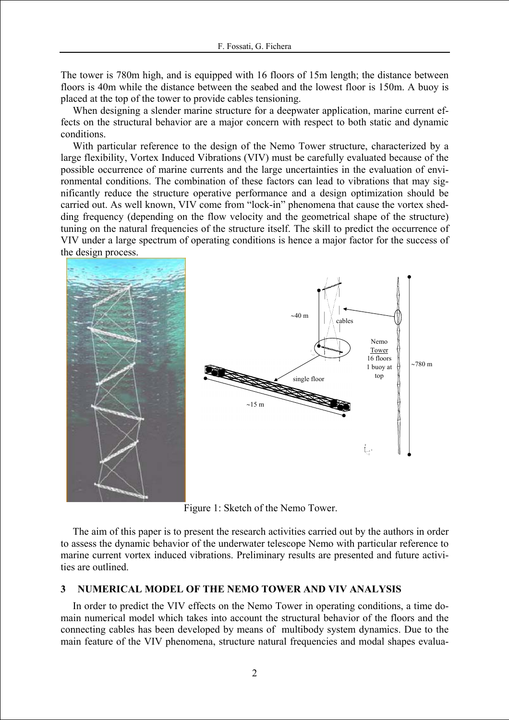The tower is 780m high, and is equipped with 16 floors of 15m length; the distance between floors is 40m while the distance between the seabed and the lowest floor is 150m. A buoy is placed at the top of the tower to provide cables tensioning.

When designing a slender marine structure for a deepwater application, marine current effects on the structural behavior are a major concern with respect to both static and dynamic conditions.

With particular reference to the design of the Nemo Tower structure, characterized by a large flexibility, Vortex Induced Vibrations (VIV) must be carefully evaluated because of the possible occurrence of marine currents and the large uncertainties in the evaluation of environmental conditions. The combination of these factors can lead to vibrations that may significantly reduce the structure operative performance and a design optimization should be carried out. As well known, VIV come from "lock-in" phenomena that cause the vortex shedding frequency (depending on the flow velocity and the geometrical shape of the structure) tuning on the natural frequencies of the structure itself. The skill to predict the occurrence of VIV under a large spectrum of operating conditions is hence a major factor for the success of the design process.





Figure 1: Sketch of the Nemo Tower.

The aim of this paper is to present the research activities carried out by the authors in order to assess the dynamic behavior of the underwater telescope Nemo with particular reference to marine current vortex induced vibrations. Preliminary results are presented and future activities are outlined.

## **3 NUMERICAL MODEL OF THE NEMO TOWER AND VIV ANALYSIS**

In order to predict the VIV effects on the Nemo Tower in operating conditions, a time domain numerical model which takes into account the structural behavior of the floors and the connecting cables has been developed by means of multibody system dynamics. Due to the main feature of the VIV phenomena, structure natural frequencies and modal shapes evalua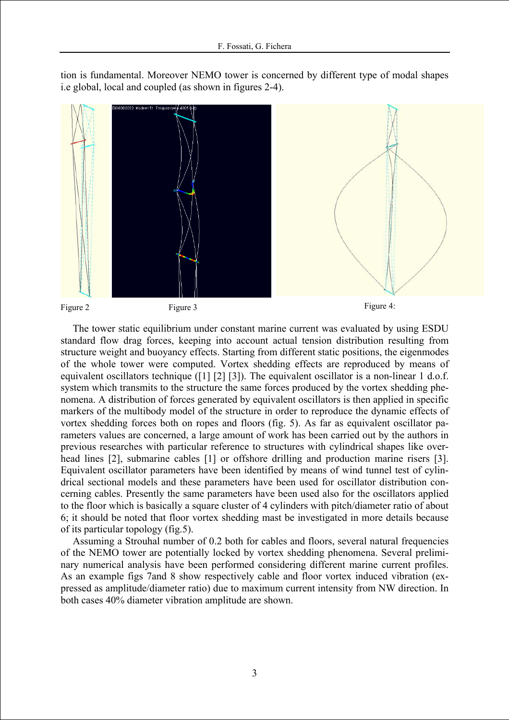tion is fundamental. Moreover NEMO tower is concerned by different type of modal shapes i.e global, local and coupled (as shown in figures 2-4).



The tower static equilibrium under constant marine current was evaluated by using ESDU standard flow drag forces, keeping into account actual tension distribution resulting from structure weight and buoyancy effects. Starting from different static positions, the eigenmodes of the whole tower were computed. Vortex shedding effects are reproduced by means of equivalent oscillators technique ([1] [2] [3]). The equivalent oscillator is a non-linear 1 d.o.f. system which transmits to the structure the same forces produced by the vortex shedding phenomena. A distribution of forces generated by equivalent oscillators is then applied in specific markers of the multibody model of the structure in order to reproduce the dynamic effects of vortex shedding forces both on ropes and floors (fig. 5). As far as equivalent oscillator parameters values are concerned, a large amount of work has been carried out by the authors in previous researches with particular reference to structures with cylindrical shapes like overhead lines [2], submarine cables [1] or offshore drilling and production marine risers [3]. Equivalent oscillator parameters have been identified by means of wind tunnel test of cylindrical sectional models and these parameters have been used for oscillator distribution concerning cables. Presently the same parameters have been used also for the oscillators applied to the floor which is basically a square cluster of 4 cylinders with pitch/diameter ratio of about 6; it should be noted that floor vortex shedding mast be investigated in more details because of its particular topology (fig.5).

Assuming a Strouhal number of 0.2 both for cables and floors, several natural frequencies of the NEMO tower are potentially locked by vortex shedding phenomena. Several preliminary numerical analysis have been performed considering different marine current profiles. As an example figs 7and 8 show respectively cable and floor vortex induced vibration (expressed as amplitude/diameter ratio) due to maximum current intensity from NW direction. In both cases 40% diameter vibration amplitude are shown.